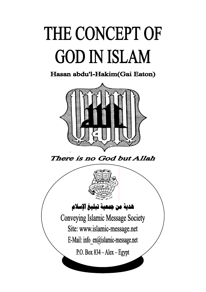## THE CONCEPT OF **GOD IN ISLAM**

Hasan abdu'l-Hakim(Gai Eaton)



There is no God but Allah

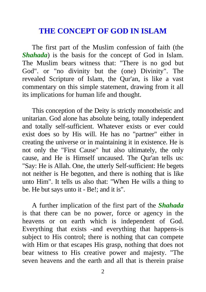## **THE CONCEPT OF GOD IN ISLAM**

The first part of the Muslim confession of faith (the *Shahada*) is the basis for the concept of God in Islam. The Muslim bears witness that: "There is no god but God". or "no divinity but the (one) Divinity". The revealed Scripture of Islam, the Qur'an, is like a vast commentary on this simple statement, drawing from it all its implications for human life and thought.

This conception of the Deity is strictly monotheistic and unitarian. God alone has absolute being, totally independent and totally self-sufficient. Whatever exists or ever could exist does so by His will. He has no "partner" either in creating the universe or in maintaining it in existence. He is not only the "First Cause" hut also ultimately, the only cause, and He is Himself uncaused. The Qur'an tells us: "Say: He is Allah. One, the utterly Self-sufficient: He begets not neither is He begotten, and there is nothing that is like unto Him". It tells us also that: "When He wills a thing to be. He but says unto it - Be!; and it is".

A further implication of the first part of the *Shahada* is that there can be no power, force or agency in the heavens or on earth which is independent of God. Everything that exists -and everything that happens-is subject to His control; there is nothing that can compete with Him or that escapes His grasp, nothing that does not bear witness to His creative power and majesty. "The seven heavens and the earth and all that is therein praise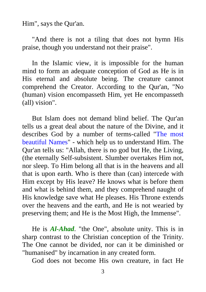Him", says the Qur'an.

"And there is not a tiling that does not hymn His praise, though you understand not their praise".

In the Islamic view, it is impossible for the human mind to form an adequate conception of God as He is in His eternal and absolute being. The creature cannot comprehend the Creator. According to the Qur'an, "No (human) vision encompasseth Him, yet He encompasseth (all) vision".

But Islam does not demand blind belief. The Qur'an tells us a great deal about the nature of the Divine, and it describes God by a number of terms-called "The most beautiful Names" - which help us to understand Him. The Qur'an tells us: "Allah, there is no god but He, the Living, (the eternally Self-subsistent. Slumber overtakes Him not, nor sleep. To Him belong all that is in the heavens and all that is upon earth. Who is there than (can) intercede with Him except by His leave? He knows what is before them and what is behind them, and they comprehend naught of His knowledge save what He pleases. His Throne extends over the heavens and the earth, and He is not wearied by preserving them; and He is the Most High, the Immense".

He is *Al-Ahad*. "the One", absolute unity. This is in sharp contrast to the Christian conception of the Trinity. The One cannot be divided, nor can it be diminished or "humanised" by incarnation in any created form.

God does not become His own creature, in fact He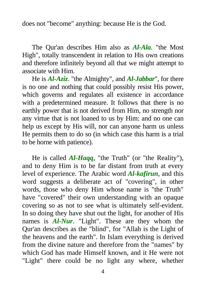does not "become" anything: because He is the God.

The Qur'an describes Him also as *Al-Ala*. "the Most High", totally transcendent in relation to His own creations and therefore infinitely beyond all that we might attempt to associate with Him.

He is *Al-Aziz*. "the Almighty", and *Al-Jabbar*", for there is no one and nothing that could possibly resist His power, which governs and regulates all existence in accordance with a predetermined measure. It follows that there is no earthly power that is not derived from Him, no strength nor any virtue that is not loaned to us by Him: and no one can help us except by His will, nor can anyone harm us unless He permits them to do so (in which case this harm is a trial to be horne with patience).

He is called *Al-Haqq*, "the Truth" (or "the Reality"), and to deny Him is to be far distant from truth at every level of experience. The Arabic word *Al-kafirun*, and this word suggests a deliberate act of "covering", in other words, those who deny Him whose name is "the Truth" have "covered" their own understanding with an opaque covering so as not to see what is ultimately self-evident. In so doing they have shut out the light, for another of His names is *Al-Nur*. "Light". These are they whom the Qur'an describes as the "blind", for "Allah is the Light of the heavens and the earth". In Islam everything is derived from the divine nature and therefore from the "names" by which God has made Himself known, and it He were not "Light" there could be no light any where, whether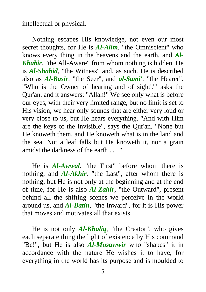intellectual or physical.

Nothing escapes His knowledge, not even our most secret thoughts, for He is *Al-Alim*. "the Omniscient" who knows every thing in the heavens and the earth, and *Al-Khabir*. "the All-Aware" from whom nothing is hidden. He is *Al-Shahid*, "the Witness" and. as such. He is described also as *Al-Basir*. "the Seer", and *al-Sami'*. "the Hearer". "Who is the Owner of hearing and of sight'.'" asks the Qur'an. and it answers: "Allah!" We see only what is before our eyes, with their very limited range, but no limit is set to His vision; we hear only sounds that are either very loud or very close to us, but He hears everything. "And with Him are the keys of the Invisible", says the Qur'an. "None but He knoweth them. and He knoweth what is in the land and the sea. Not a leaf falls but He knoweth it, nor a grain amidst the darkness of the earth . . . ".

He is *Al-Awwal*. "the First" before whom there is nothing, and *Al-Akhir.* "the Last", after whom there is nothing; but He is not only at the beginning and at the end of time, for He is also *Al-Zahir*, "the Outward", present behind all the shifting scenes we perceive in the world around us, and *Al-Batin*, "the Inward", for it is His power that moves and motivates all that exists.

He is not only *Al-Khaliq*, "the Creator", who gives each separate thing the light of existence by His command "Be!", but He is also *Al-Musawwir* who "shapes" it in accordance with the nature He wishes it to have, for everything in the world has its purpose and is moulded to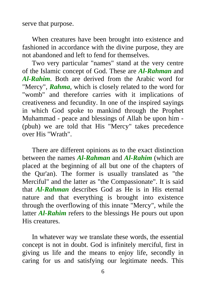serve that purpose.

When creatures have been brought into existence and fashioned in accordance with the divine purpose, they are not abandoned and left to fend for themselves.

Two very particular "names" stand at the very centre of the Islamic concept of God. These are *Al-Rahman* and *Al-Rahim*. Both are derived from the Arabic word for "Mercy", *Rahma*, which is closely related to the word for "womb" and therefore carries with it implications of creativeness and fecundity. In one of the inspired sayings in which God spoke to mankind through the Prophet Muhammad - peace and blessings of Allah be upon him - (pbuh) we are told that His "Mercy" takes precedence over His "Wrath".

There are different opinions as to the exact distinction between the names *Al-Rahman* and *Al-Rahim* (which are placed at the beginning of all but one of the chapters of the Qur'an). The former is usually translated as "the Merciful" and the latter as "the Compassionate". It is said that *Al-Rahman* describes God as He is in His eternal nature and that everything is brought into existence through the overflowing of this innate "Mercy", while the latter *Al-Rahim* refers to the blessings He pours out upon His creatures.

In whatever way we translate these words, the essential concept is not in doubt. God is infinitely merciful, first in giving us life and the means to enjoy life, secondly in caring for us and satisfying our legitimate needs. This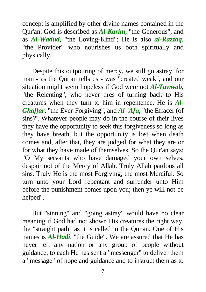concept is amplified by other divine names contained in the Qur'an. God is described as *Al-Karim*, "the Generous", and as *Al-Wadud*, "the Loving-Kind"; He is also *al-Razzaq*, "the Provider" who nourishes us both spiritually and physically.

Despite this outpouring of mercy, we still go astray, for man - as the Qur'an tells us - was "created weak", and our situation might seem hopeless if God were not *Al-Tawwab*, "the Relenting", who never tires of turning back to His creatures when they turn to him in repentence. He is *Al-Ghaffar*, "the Ever-Forgiving", and *Al-'Afu*, "the Effacer (of sins)". Whatever people may do in the course of their lives they have the opportunity to seek this forgiveness so long as they have breath, but the opportunity is lost when death comes and, after that, they are judged for what they are or for what they have made of themselves. So the Qur'an says: "O My servants who have damaged your own selves, despair not of the Mercy of Allah. Truly Allah pardons all sins. Truly He is the most Forgiving, the most Merciful. So turn unto your Lord repentant and surrender unto Him before the punishment comes upon you; then ye will not be helped".

But "sinning" and "going astray" would have no clear meaning if God had not shown His creatures the right way, the "straight path" as it is called in the Qur'an. One of His names is *Al-Hadi*, "the Guide". We are assured that He has never left any nation or any group of people without guidance; to each He has sent a "messenger" to deliver them a "message" of hope and guidance and to instruct them as to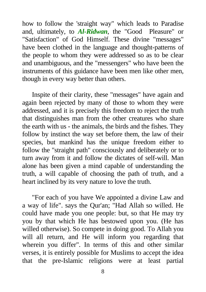how to follow the 'straight way" which leads to Paradise and, ultimately, to *Al-Ridwan*, the "Good Pleasure" or "Satisfaction" of God Himself. These divine "messages" have been clothed in the language and thought-patterns of the people to whom they were addressed so as to be clear and unambiguous, and the "messengers" who have been the instruments of this guidance have been men like other men, though in every way better than others.

Inspite of their clarity, these "messages" have again and again been rejected by many of those to whom they were addressed, and it is precisely this freedom to reject the truth that distinguishes man from the other creatures who share the earth with us - the animals, the birds and the fishes. They follow by instinct the way set before them, the law of their species, but mankind has the unique freedom either to follow the "straight path" consciously and deliberately or to turn away from it and follow the dictates of self-will. Man alone has been given a mind capable of understanding the truth, a will capable of choosing the path of truth, and a heart inclined by its very nature to love the truth.

"For each of you have We appointed a divine Law and a way of life". says the Qur'an; "Had Allah so willed. He could have made you one people: but, so that He may try you by that which He has bestowed upon you. (He has willed otherwise). So compete in doing good. To Allah you will all return, and He will inform you regarding that wherein you differ". In terms of this and other similar verses, it is entirely possible for Muslims to accept the idea that the pre-Islamic religions were at least partial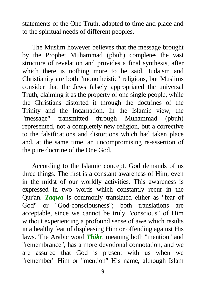statements of the One Truth, adapted to time and place and to the spiritual needs of different peoples.

The Muslim however believes that the message brought by the Prophet Muhammad (pbuh) completes the vast structure of revelation and provides a final synthesis, after which there is nothing more to be said. Judaism and Christianity are both "monotheistic" religions, but Muslims consider that the Jews falsely appropriated the universal Truth, claiming it as the property of one single people, while the Christians distorted it through the doctrines of the Trinity and the Incarnation. In the Islamic view, the "message" transmitted through Muhammad (pbuh) represented, not a completely new religion, but a corrective to the falsifications and distortions which had taken place and, at the same time. an uncompromising re-assertion of the pure doctrine of the One God.

According to the Islamic concept. God demands of us three things. The first is a constant awareness of Him, even in the midst of our worldly activities. This awareness is expressed in two words which constantly recur in the Qur'an. *Taqwa* is commonly translated either as "fear of God" or "God-consciousness"; both translations are acceptable, since we cannot be truly "conscious" of Him without experiencing a profound sense of awe which results in a healthy fear of displeasing Him or offending against His laws. The Arabic word *Thikr*. meaning both "mention" and "remembrance", has a more devotional connotation, and we are assured that God is present with us when we "remember" Him or "mention" His name, although Islam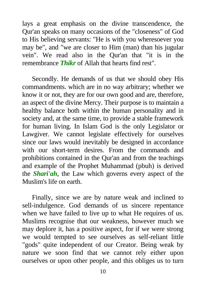lays a great emphasis on the divine transcendence, the Qur'an speaks on many occasions of the "closeness" of God to His believing servants: "He is with you wheresoever you may be", and "we are closer to Him (man) than his jugular vein". We read also in the Qur'an that "it is in the remembrance *Thikr* of Allah that hearts find rest".

Secondly. He demands of us that we should obey His commandments. which are in no way arbitrary; whether we know it or not, they are for our own good and are, therefore, an aspect of the divine Mercy. Their purpose is to maintain a healthy balance both within the human personality and in society and, at the same time, to provide a stable framework for human living. In Islam God is the only Legislator or Lawgiver. We cannot legislate effectively for ourselves since our laws would inevitably be designed in accordance with our short-term desires. From the commands and prohibitions contained in the Qur'an and from the teachings and example of the Prophet Muhammad (pbuh) is derived the *Shari'ah*, the Law which governs every aspect of the Muslim's life on earth.

Finally, since we are by nature weak and inclined to sell-indulgence. God demands of us sincere repentance when we have failed to live up to what He requires of us. Muslims recognise that our weakness, however much we may deplore it, has a positive aspect, for if we were strong we would tempted to see ourselves as self-reliant little "gods" quite independent of our Creator. Being weak by nature we soon find that we cannot rely either upon ourselves or upon other people, and this obliges us to turn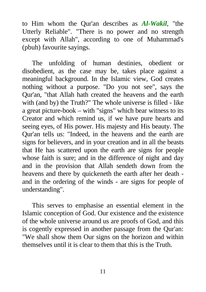to Him whom the Qur'an describes as *Al-Wakil*, "the Utterly Reliable". "There is no power and no strength except with Allah", according to one of Muhammad's (pbuh) favourite sayings.

The unfolding of human destinies, obedient or disobedient, as the case may be, takes place against a meaningful background. In the Islamic view, God creates nothing without a purpose. "Do you not see", says the Qur'an, "that Allah hath created the heavens and the earth with (and by) the Truth?" The whole universe is filled - like a great picture-book – with "signs" which bear witness to its Creator and which remind us, if we have pure hearts and seeing eyes, of His power. His majesty and His beauty. The Qur'an tells us: "Indeed, in the heavens and the earth are signs for believers, and in your creation and in all the beasts that He has scattered upon the earth are signs for people whose faith is sure; and in the difference of night and day and in the provision that Allah sendeth down from the heavens and there by quickeneth the earth after her death and in the ordering of the winds - are signs for people of understanding".

This serves to emphasise an essential element in the Islamic conception of God. Our existence and the existence of the whole universe around us are proofs of God, and this is cogently expressed in another passage from the Qur'an: "We shall show them Our signs on the horizon and within themselves until it is clear to them that this is the Truth.